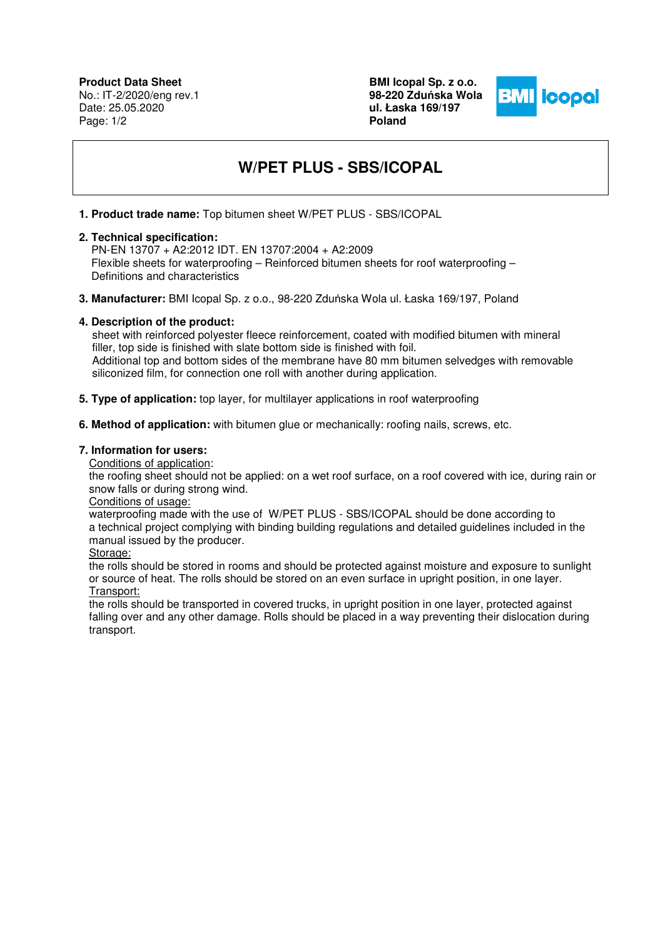**Product Data Sheet** No.: IT-2/2020/eng rev.1 Date: 25.05.2020 Page: 1/2

**BMI Icopal Sp. z o.o. 98-220 Zdu**ń**ska Wola ul. Łaska 169/197 Poland** 



# **W/PET PLUS - SBS/ICOPAL**

**1. Product trade name:** Top bitumen sheet W/PET PLUS - SBS/ICOPAL

## **2. Technical specification:**

PN-EN 13707 + A2:2012 IDT. EN 13707:2004 + A2:2009 Flexible sheets for waterproofing – Reinforced bitumen sheets for roof waterproofing – Definitions and characteristics

**3. Manufacturer:** BMI Icopal Sp. z o.o., 98-220 Zduńska Wola ul. Łaska 169/197, Poland

# **4. Description of the product:**

 sheet with reinforced polyester fleece reinforcement, coated with modified bitumen with mineral filler, top side is finished with slate bottom side is finished with foil. Additional top and bottom sides of the membrane have 80 mm bitumen selvedges with removable siliconized film, for connection one roll with another during application.

- **5. Type of application:** top layer, for multilayer applications in roof waterproofing
- **6. Method of application:** with bitumen glue or mechanically: roofing nails, screws, etc.

# **7. Information for users:**

Conditions of application:

the roofing sheet should not be applied: on a wet roof surface, on a roof covered with ice, during rain or snow falls or during strong wind.

## Conditions of usage:

waterproofing made with the use of W/PET PLUS - SBS/ICOPAL should be done according to a technical project complying with binding building regulations and detailed guidelines included in the manual issued by the producer.

#### Storage:

the rolls should be stored in rooms and should be protected against moisture and exposure to sunlight or source of heat. The rolls should be stored on an even surface in upright position, in one layer. Transport:

the rolls should be transported in covered trucks, in upright position in one layer, protected against falling over and any other damage. Rolls should be placed in a way preventing their dislocation during transport.